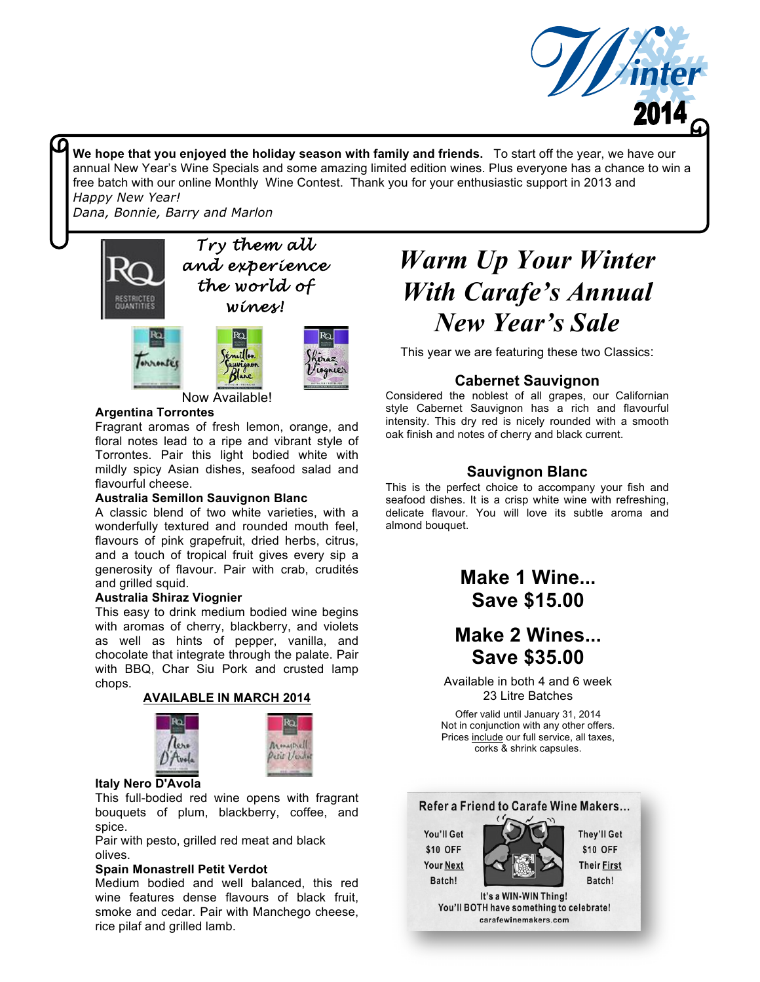

**We hope that you enjoyed the holiday season with family and friends.** To start off the year, we have our annual New Year's Wine Specials and some amazing limited edition wines. Plus everyone has a chance to win a free batch with our online Monthly Wine Contest. Thank you for your enthusiastic support in 2013 and *Happy New Year!*

*Dana, Bonnie, Barry and Marlon*





**Now Available!** 

### **Argentina Torrontes**

Fragrant aromas of fresh lemon, orange, and floral notes lead to a ripe and vibrant style of Torrontes. Pair this light bodied white with mildly spicy Asian dishes, seafood salad and flavourful cheese.

### **Australia Semillon Sauvignon Blanc**

A classic blend of two white varieties, with a wonderfully textured and rounded mouth feel, flavours of pink grapefruit, dried herbs, citrus, and a touch of tropical fruit gives every sip a generosity of flavour. Pair with crab, crudités and grilled squid.

### **Australia Shiraz Viognier**

This easy to drink medium bodied wine begins with aromas of cherry, blackberry, and violets as well as hints of pepper, vanilla, and chocolate that integrate through the palate. Pair with BBQ, Char Siu Pork and crusted lamp chops.







### **Italy Nero D'Avola**

This full-bodied red wine opens with fragrant bouquets of plum, blackberry, coffee, and spice.

Pair with pesto, grilled red meat and black olives.

### **Spain Monastrell Petit Verdot**

Medium bodied and well balanced, this red wine features dense flavours of black fruit, smoke and cedar. Pair with Manchego cheese, rice pilaf and grilled lamb.

# *Warm Up Your Winter With Carafe's Annual New Year's Sale*

This year we are featuring these two Classics:

### **Cabernet Sauvignon**

Considered the noblest of all grapes, our Californian style Cabernet Sauvignon has a rich and flavourful intensity. This dry red is nicely rounded with a smooth oak finish and notes of cherry and black current.

### **Sauvignon Blanc**

This is the perfect choice to accompany your fish and seafood dishes. It is a crisp white wine with refreshing, delicate flavour. You will love its subtle aroma and almond bouquet.

> **Make 1 Wine... Save \$15.00**

## **Make 2 Wines... Save \$35.00**

Available in both 4 and 6 week 23 Litre Batches

Offer valid until January 31, 2014 Not in conjunction with any other offers. Prices include our full service, all taxes, corks & shrink capsules.

### Refer a Friend to Carafe Wine Makers...

You'll Get \$10 OFF **Your Next** Batch!



It's a WIN-WIN Thing! You'll BOTH have something to celebrate! carafewinemakers.com